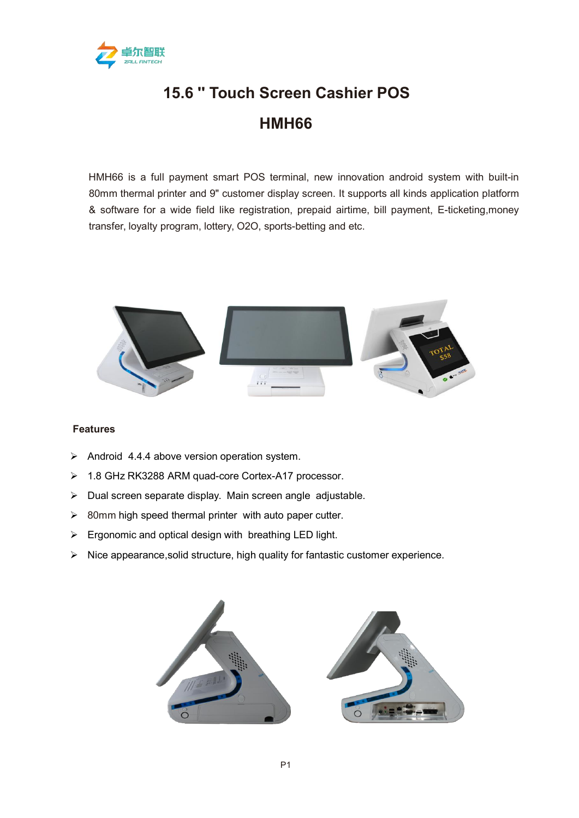

## **15.6 '' Touch Screen Cashier POS HMH66**

HMH66 is a full payment smart POS terminal, new innovation android system with built-in 80mm thermal printer and 9" customer display screen. It supports all kinds application platform & software for a wide field like registration, prepaid airtime, bill payment, E-ticketing,money transfer, loyalty program, lottery, O2O, sports-betting and etc.



## **Features**

- $\triangleright$  Android 4.4.4 above version operation system.
- 1.8 GHz RK3288 ARM quad-core Cortex-A17 processor.
- $\triangleright$  Dual screen separate display. Main screen angle adjustable.
- $\geq$  80mm high speed thermal printer with auto paper cutter.
- $\triangleright$  Ergonomic and optical design with breathing LED light.
- $\triangleright$  Nice appearance, solid structure, high quality for fantastic customer experience.